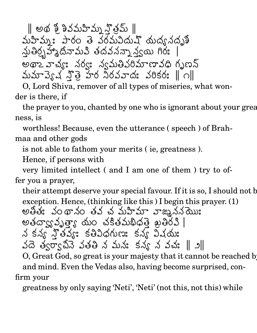$\parallel$  అథ శో శివమహిమ్న హితమ్  $\parallel$ 2  $\sim$  . The contract of the contract of the contract of the contract of the contract of the contract of the contract of the contract of the contract of the contract of the contract of the contract of the contract of the co తె వరమవిదుష్ యద్యనదృశీ నుతిర్చహా దీనామవి తదవనన్నా కదవనన్నా న్యయి గిర్య | అథాఽ వాచ్యః నంపు అవరిమాణావధి గృణన్ and the contract of the contract of the contract of the contract of the contract of the contract of the contract of the contract of the contract of the contract of the contract of the contract of the contract of the contra O !" -UT, the contract of the contract of the contract of the contract of the contract of the contract of the contract of the contract of the contract of the contract of the contract of the contract of the contract of the cont  $\mathfrak{P}$ తె హర నిరవవాదః వరికరః | " #MYX#E WZ

O, Lord Shiva, remover of all types of miseries, what wonder is there, if

the prayer to you, chanted by one who is ignorant about your greatness, is

worthless! Because, even the utterance ( speech ) of Brahmaa and other gods

is not able to fathom your merits ( ie, greatness ).

Hence, if persons with

very limited intellect ( and I am one of them ) try to offer you a prayer,

their attempt deserve your special favour. If it is so, I should not b అతితః వంథానం తవ చ మహిమా వాఙ్నినసేముః exception. Hence, (thinking like this ) I begin this prayer. (1) ;=@ experience and the contract of the contract of the contract of the contract of the contract of the contract of కద్యావృత్తా యం చకితమథి -  $\sim$  300  $\sim$  300  $\sim$  300  $\sim$  300  $\sim$  300  $\sim$  300  $\sim$  300  $\sim$  300  $\sim$  300  $\sim$  300  $\sim$  300  $\sim$  300  $\sim$ the contract of the contract of the contract of the contract of the contract of the contract of the contract of  $\rightarrow$  3  $\rightarrow$  3  $\rightarrow$  9000  $\rightarrow$  9000  $\rightarrow$  9000  $\rightarrow$  " the contract of the contract of the contract of the contract of the contract of the contract of the contract of /5 X/
K-  $\sim$  . Let  $\sim$  . Let  $\sim$  . Let  $\sim$  . Let  $\sim$  . Let  $\sim$  . Let  $\sim$  . Let  $\sim$  . Let  $\sim$  . Let  $\sim$  . Let  $\sim$  . Let  $\sim$  . Let  $\sim$  . Let  $\sim$  . Let  $\sim$  . Let  $\sim$  . Let  $\sim$  . Let  $\sim$  . Let  $\sim$  . Let  $\sim$  . Let తివిధగుణః కన్య విషయః "  $\sim$  . The contract of the contract of the contract of the contract of the contract of the contract of the contract of the contract of the contract of the contract of the contract of the contract of the contract of the co దె త్వర్వాపినె వతతి న మ 7 **1 a**  $\overline{a}$  **7** a  $\overline{a}$  **7** a  $\overline{a}$  **7** a  $\overline{a}$  **7** a  $\overline{a}$  **7** a  $\overline{a}$  **7** a  $\overline{a}$  **7** a  $\overline{a}$  **7** a  $\overline{a}$  **7** a  $\overline{a}$  **7** a  $\overline{a}$  **7** a  $\overline{a}$  **7** a  $\overline{a}$  **7** a  $\overline{a}$  **7** a  $\overline$  where the contract of the contract of the contract of the contract of the contract of the contract of the contract of the contract of the contract of the contract of the contract of the contract of the contract of the cont  $\mathbf{F}$  . The set of  $\mathbf{F}$  is a set of  $\mathbf{F}$  is a set of  $\mathbf{F}$  is a set of  $\mathbf{F}$ @ Je graduate and the second service in the service of the service of the series of the series of the series of

O, Great God, so great is your majesty that it cannot be reached by and mind. Even the Vedas also, having become surprised, confirm your

greatness by only saying 'Neti', 'Neti' (not this, not this) while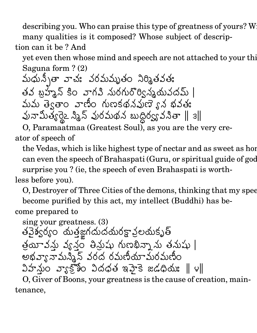describing you. Who can praise this type of greatness of yours? W many qualities is it composed? Whose subject of description can it be ? And

yet even then whose mind and speech are not attached to your this Saguna form ? (2)

మధున్నీతా వాచః వరమమృతం నిర్మిం <u>in the contract of the contract of the contract of the contract of the contract of the contract of the contract of the contract of the contract of the contract of the contract of the contract of the contract of the contra</u>  $\blacksquare$  (  $\blacksquare$  ) and (  $\blacksquare$  ) and (  $\blacksquare$  ) and (  $\blacksquare$  ) and (  $\blacksquare$  ) and (  $\blacksquare$  ) and (  $\blacksquare$  ) and (  $\blacksquare$  ) and (  $\blacksquare$  ) and (  $\blacksquare$  ) and (  $\blacksquare$  ) and (  $\blacksquare$  ) and (  $\blacksquare$  ) and (  $\blacksquare$  ) and (  $\$ ; experience and the contract of the contract of the contract of the contract of the contract of the contract of 5 ;=@  $\overline{\phantom{a}}$  is a set of  $\overline{\phantom{a}}$  if  $\overline{\phantom{a}}$  if  $\overline{\phantom{a}}$  if  $\overline{\phantom{a}}$  if  $\overline{\phantom{a}}$  if  $\overline{\phantom{a}}$  if  $\overline{\phantom{a}}$  if  $\overline{\phantom{a}}$  if  $\overline{\phantom{a}}$  if  $\overline{\phantom{a}}$  if  $\overline{\phantom{a}}$  if  $\overline{\phantom{a}}$  if  $\overline{\phantom{a}}$  if  $\$ వి నురగురొర్విన్మయవదమ్ | మమ త్వెతాం వాణిం గుణకథనవుణె ్న భష — н. J D J J J J ! - Experience of the contract of the contract of the contract of the contract of the contract of the contract of " పునామిత్యరైౖ స్మిన్ పురమథన ః " JJJJJ O న బుద్ధిర్యవసితా ∥ ౩∥

O, Paramaatmaa (Greatest Soul), as you are the very creator of speech of

the Vedas, which is like highest type of nectar and as sweet as hor can even the speech of Brahaspati (Guru, or spiritual guide of god surprise you ? (ie, the speech of even Brahaspati is worthless before you).

O, Destroyer of Three Cities of the demons, thinking that my spee become purified by this act, my intellect (Buddhi) has be-

come prepared to

sing your greatness. (3) పైశ్వర్యం యతజ్ఞగదుదయరక్ష్మాలయకృత్ . త్రయీ వ్యవ్వం తీసుషు గుణభిన్నా ను తనుషు | 2 @ ' అభవ్యానామస్తిన్ వరద రమణీయామరమణిం **\$&&&&&&&&&&&&&&&&&&&** నుం వ్యాక్తోం విదధత '  $\bullet$  . And the set of the set of the set of the set of the set of the set of the set of the set of the set of the set of the set of the set of the set of the set of the set of the set of the set of the set of the set of t ,我们也不会有什么。""我们,我们也不会有什么?""我们,我们也不会有什么?""我们,我们也不会有什么?""我们,我们也不会有什么?""我们,我们也不会有什么?  $\frac{1}{8}$  ఇహైకె జడధియః  $\parallel$  v $\parallel$ 

O, Giver of Boons, your greatness is the cause of creation, maintenance,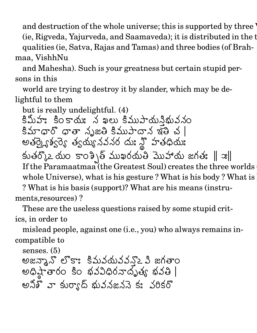and destruction of the whole universe; this is supported by three '  $(i$ e, Rigveda, Yajurveda, and Saamaveda); it is distributed in the  $t$ qualities (ie, Satva, Rajas and Tamas) and three bodies (of Brahmaa, VishhNu

and Mahesha). Such is your greatness but certain stupid persons in this

world are trying to destroy it by slander, which may be delightful to them

but is really undelightful. (4) కిమీహః కింకాయః న ఖలు కిముపాయస్తిభువనం <u>a serie de la construcción de la construcción de la construcción de la construcción de la construcción de la c</u> కిమాధారో ధాతా సృజతి కిముపాదాన ఇతి చ |  $3$  ఇలి చ $\parallel$ entration and the contract of the contract of the contract of the contract of the contract of the contract of ఇర్ర్ట్ శ్రీర్మి త్వయ్య న త్యయ్య నవనర దుః న్హి హతధియః . . . . . . range and the second control of the second control of the second control of the second control of the second control of the second control of the second control of the second control of the second control of the second con the contract of the contract of the contract of the contract of the contract of the contract of the contract of  $\mathcal{L}(\mathcal{S})$  ము సిర్ముల ముస్తు జగత:  $\parallel \mathcal{R} \parallel \mathcal{S}$   $\blacksquare$ If the Paramaatmaa (the Greatest Soul) creates the three worlds whole Universe), what is his gesture ? What is his body ? What is ? What is his basis (support)? What are his means (instruments,resources) ?

These are the useless questions raised by some stupid critics, in order to

mislead people, against one (i.e., you) who always remains incompatible to

senses. (5) జన్కాన్ లొకాః కిమవయవవన్నౖ పి జగతాం  $\mathcal{L} = \mathcal{L} \mathcal{L}$  , we have the set of  $\mathcal{L} = \mathcal{L} \mathcal{L}$  , we have the set of  $\mathcal{L} = \mathcal{L} \mathcal{L}$ గతాం షాతారం కిం భవవిధిరనాదృత్య భవతి | n and the state of the state of the state of the state of the state of the state of the state of the state of t అనికి వా కుర్యాద్ శువనజననె కః వరికఁ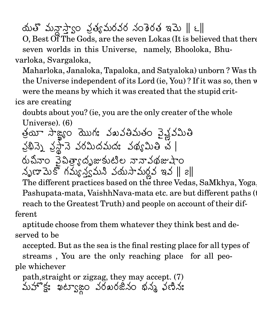యతొ మన్హాస్యాం ప్రత్యమరవర నం .  $\frac{1}{2}$  and  $\frac{1}{2}$  is an orbit  $\frac{1}{2}$  is a set of a 3b  $\parallel$  c  $\parallel$ 

 $O$ , Best  $\widetilde{O}$ f The Gods, are the seven Lokas (It is believed that there seven worlds in this Universe, namely, Bhooloka, Bhuvarloka, Svargaloka,

Maharloka, Janaloka, Tapaloka, and Satyaloka) unborn? Was the the Universe independent of its Lord (ie, You)? If it was so, then w were the means by which it was created that the stupid crit-

## ics are creating

doubts about you? (ie, you are the only creater of the whole Universe). (6)

 2 యీ సాఙ్యం యొగ: వఖవతిమతం వైవ్లవమితి న్మీన్నె నట్టాన్ నెం . నసానె వరమిదముదః వథ్యమితి చ | . రుచీనాం వైపిత్యాద ఏనా౦ వైచిత్రాగ్గదృజుకుటిల నాన  $\mathfrak{g}$ దృజుకుటిల నానావథజుషాం  $36x$ ည်းဝ $10$ @ నృణామెకొ గమ్యన్యమని వయసామరవ ఇవ |  $\sim$  5  $\sim$  5  $\sim$  5  $\sim$  5  $\sim$  5  $\sim$  5  $\sim$  5  $\sim$  5  $\sim$  5  $\sim$  5  $\sim$  5  $\sim$  5  $\sim$  5  $\sim$  5  $\sim$  5  $\sim$  5  $\sim$  5  $\sim$  5  $\sim$  5  $\sim$  5  $\sim$  5  $\sim$  5  $\sim$  5  $\sim$  5  $\sim$  5  $\sim$  5  $\sim$  5  $\sim$  5  $\sim$  5  $\sim$  5  $\sim$  5  $\sim$ 

The different practices based on the three Vedas, SaMkhya, Yoga, Pashupata-mata, VaishhNava-mata etc. are but different paths (to reach to the Greatest Truth) and people on account of their different

aptitude choose from them whatever they think best and deserved to be

accepted. But as the sea is the final resting place for all types of streams , You are the only reaching place for all people whichever

మహొక్ల: ఖట్యాజ్లం వరఖరజీనం భన్న ఫణిన: path,straight or zigzag, they may accept. (7) e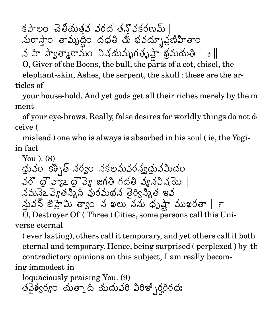$5 - 2$  3 3  $3 - 3$  50  $3 - 3$   $3 - 5$   $1$ మరాస్తాం తామృద్ధిం దధతి తు భవద్భూ ప్రణిహితాం

 $\vec{r}$  ని సౌ $\vec{r}$  ని సౌకర్యం విషయమృగతృష్ణాభమయతి $\parallel \sigma \parallel$ 

O, Giver of the Boons, the bull, the parts of a cot, chisel, the

elephant-skin, Ashes, the serpent, the skull: these are the articles of

your house-hold. And yet gods get all their riches merely by the m ment

of your eye-brows. Really, false desires for worldly things do not d ceive (

mislead) one who is always is absorbed in his soul (ie, the Yogiin fact

You).  $(8)$ థ్రువం కశ్చిత్ నర్వం నకలమవరన్త్యభువమిదం  $16$   $\sigma$   $32 \sigma$   $35 \sigma$   $36 \sigma$  గదతి  $35 \sigma$ నవిష్ణు నమనేఽ వె. తనిశ్వ పురమథన తెర్విశ్రీత ఇవ  $\Delta$ ువన్ జిహ్మే త్వాం న ఖలు నను ధృష్ణా ముఖరతా  $\parallel$   $\tau\parallel$ O, Destroyer Of (Three) Cities, some persons call this Uni-

verse eternal

(ever lasting), others call it temporary, and yet others call it both eternal and temporary. Hence, being surprised (perplexed) by the contradictory opinions on this subject, I am really becoming immodest in

loquaciously praising You. (9) తవైశ్వర్యం యత్నాద్ యదువరి విరిఇ్భిర్హరిరధః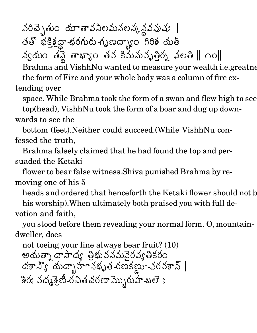వరిచ్చెతుం యాతావనిలమనలన్కన్దవప్రవు | తతొ భక్తిక్షద్దా-భరగురు-గృణద్భాం గిరిశ యత్

 $\lambda$ ွင်္လာဝ မန္ဒါ မားၾက မသံ ဒီသို့လည်းမှုတွဲ ၃၀မ  $\parallel$  ဂဝ $\parallel$ 

Brahma and VishhNu wanted to measure your wealth *i.e.greatne* the form of Fire and your whole body was a column of fire extending over

space. While Brahma took the form of a swan and flew high to see top(head), VishhNu took the form of a boar and dug up downwards to see the

bottom (feet). Neither could succeed. (While VishhNu confessed the truth.

Brahma falsely claimed that he had found the top and persuaded the Ketaki

flower to bear false witness. Shiva punished Brahma by removing one of his 5

heads and ordered that henceforth the Ketaki flower should not b

his worship). When ultimately both praised you with full devotion and faith,

you stood before them revealing your normal form. O, mountaindweller, does

not toeing your line always bear fruit? (10) అయత్నా దాసాద్య తిభువనమవెరవ్యతికరం  $\Delta$ శాన్యో యద్భాహానభృత-రణకణూ-వరవశాన్ | <u> శిరః వద్మశైణీ-రచితచరణా మ్బొరుహ-బలె ః</u>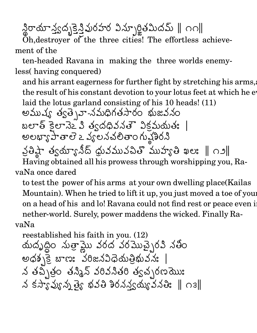న్థిరాయాన్త్వద్భక్తెన్తివురహర విన్ఫూర్జితమిదమ్ ∥ం౧∥

Oh, destroyer of the three cities! The effortless achievement of the

ten-headed Ravana in making the three worlds enemyless (having conquered)

and his arrant eagerness for further fight by stretching his arms, the result of his constant devotion to your lotus feet at which he et laid the lotus garland consisting of his 10 heads! (11)

అముష్య త్వత్సెవా-నమధిగతసారం భుజవనం బలాత్ కైలానెఽ వి త్వదధివనతౌ విక్రమయతః అలభ్యా హేతాలె ఒ వ్యలనచలితాం గుష్ట్రీరనీ నైతిష్టా త్వయ్యానీద్ ధ్రువమువచితొ ముహ్యతి ఖలః || ౧౨|| Having obtained all his prowess through worshipping you, RavaNa once dared

to test the power of his arms at your own dwelling place (Kailas Mountain). When he tried to lift it up, you just moved a toe of your on a head of his and lo! Ravana could not find rest or peace even i nether-world. Surely, power maddens the wicked. Finally RavaNa

reestablished his faith in you. (12) యదృద్ధిం సుత్రామ్ణు వరద వరమొచ్చైరవి నతీం  $\omega$ \$ $\frac{1}{2}$  బాణ: వరిజనవిధెయత్రిభువన: | న తచ్చిత్రం తన్మిన్ వరివనితరి త్వచ్చరణమొుః  $\lambda$  కస్పావ్యవు త్యే భవతి శిరనన్వయ్యవనతి:  $\parallel$  റెక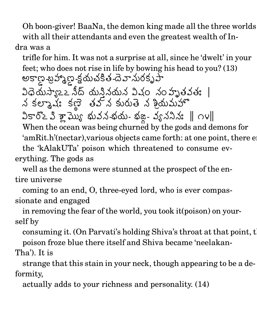Oh boon-giver! BaaNa, the demon king made all the three worlds with all their attendants and even the greatest wealth of In-

## dra was a

trifle for him. It was not a surprise at all, since he 'dwelt' in your అకాణ -బ్రహ్మాణ -క్షయచకిత -దె వానురకృపా feet; who does not rise in life by bowing his head to you? (13) విధెయస్వాౖ≥ నీద్ యనినయన విష్  $\ddot{\phantom{a}}$  , and a result of the set of the set of the set of the set of the set of the set of the set of the set of the set of the set of the set of the set of the set of the set of the set of the set of the set of the . . . . . . Experience the contract of the contract of the contract of the contract of the contract of the contract of the

 @ /5 X e de la construcción de la construcción de la construcción de la construcción de la construcción de la construcción గ్నాష్ కణ్ తవ్వ కురుతె . . . . . . న కురుతె న శ్రీయమహొ

వి శ్రామ్యో భువన-భయ- భజ్- $\sim$ -భయ- భజ్ణ- వ్యవసినః  $\parallel$  ౧౪ $\parallel$ 

When the ocean was being churned by the gods and demons for 'amRit.h'(nectar), various objects came forth: at one point, there example. the 'kAlakUTa' poison which threatened to consume everything. The gods as

well as the demons were stunned at the prospect of the entire universe

coming to an end, O, three-eyed lord, who is ever compassionate and engaged

in removing the fear of the world, you took it(poison) on yourself by

consuming it. (On Parvati's holding Shiva's throat at that point, the poison froze blue there itself and Shiva became 'neelakan-

## Tha'). It is

strange that this stain in your neck, though appearing to be a deformity,

actually adds to your richness and personality. (14)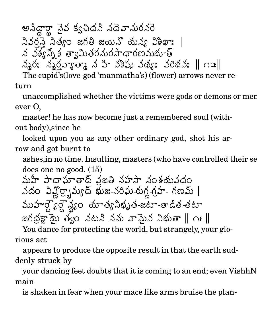- /
%F the contract of the contract of the contract of the contract of the contract of the contract of the contract of రా నైవ క్వచిద*పి న*దెవా*ను*రనరె

నివరనె నిత్యం జగతి జయి గతి జయినో యన్య విశిఖాః | /5 K-0V4 March 2009 (1999) 1999 (1999) 1999 (1999) 1999 (1999) 1999 (1999) 1999 (1999) 1999 (1999) 1999 (1999) 1 and the contract of the contract of the contract of the contract of the contract of the contract of the contract of the contract of the contract of the contract of the contract of the contract of the contract of the contra

" <sup>b</sup> be a series of the series of the series of the series of the series of the series of the series of the series శ త్వామితరనురసాధారణమభూత్

న్మర: నృర్ధవా,తా నవి హీ వశిషు వర  $\sim$  9  $\sim$  9  $\sim$  9  $\sim$  9  $\sim$  9  $\sim$  9  $\sim$  9  $\sim$  9  $\sim$  9  $\sim$  9  $\sim$  9  $\sim$  9  $\sim$  9  $\sim$  9  $\sim$  9  $\sim$  9  $\sim$  9  $\sim$  9  $\sim$  9  $\sim$  9  $\sim$  9  $\sim$  9  $\sim$  9  $\sim$  9  $\sim$  9  $\sim$  9  $\sim$  9  $\sim$  9  $\sim$  9  $\sim$  9  $\sim$  9  $\sim$ " K-L " #M E <sup>Z</sup>

The cupid's(love-god 'manmatha's) (flower) arrows never return

unaccomplished whether the victims were gods or demons or men. ever O,

master! he has now become just a remembered soul (without body),since he

looked upon you as any other ordinary god, shot his arrow and got burnt to

ashes, in no time. Insulting, masters (who have controlled their senses), does one no good. (15)

మహీ పాదాఘాతాద్ వజతి నహసా నంశయవదం వదం వివ్ల్పైమ్యద్ భు ర్పామ్యద్ భుజ-వరిఘ-రుగ్ణ-గ్రహ- గణమ్ | ముహర్హరై స్యం యాత్య - and the set of the set of the set of the set of the set of the set of the set of the set of the set of the set of the set of the set of the set of the set of the set of the set of the set of the set of the set of the se  $\sim$  21  $\sim$  21  $\sim$  21  $\sim$  21  $\sim$  21  $\sim$  21  $\sim$  21  $\sim$  21  $\sim$  21  $\sim$  21  $\sim$  21  $\sim$  21  $\sim$  21  $\sim$  21  $\sim$  21  $\sim$  21  $\sim$  21  $\sim$  21  $\sim$  21  $\sim$  21  $\sim$  21  $\sim$  21  $\sim$  21  $\sim$  21  $\sim$  21  $\sim$  21  $\sim$  21  $\sim$   $\sim$  -2  $\sim$  -3  $\sim$  -3  $\sim$ the contract of the contract of the contract of the contract of the contract of the contract of the contract of  $\frac{1}{2}$  -get జగద్దక్షామై త్వం నటని నను వాషై / graduate the contract of the contract of the contract of the contract of the contract of the contract of the contract of the contract of the contract of the contract of the contract of the contract of the contract of the c  $\lambda$ ు వామైవ విభుతా  $\parallel$  ౧౬ $\parallel$ 

You dance for protecting the world, but strangely, your glorious act

appears to produce the opposite result in that the earth suddenly struck by

your dancing feet doubts that it is coming to an end; even VishhN main

is shaken in fear when your mace like arms bruise the plan-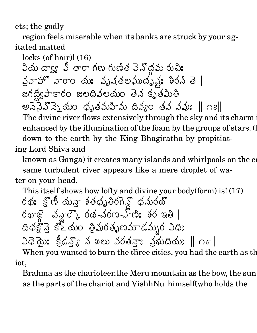ets; the godly

region feels miserable when its banks are struck by your agitated matted

known as Ganga) it creates many islands and whirlpools on the ea same turbulent river appears like a mere droplet of water on your head.

This itself shows how lofty and divine your body(form) is! (17) రథః క్లొణీ మన్హా శతధృతిరగెన్డొ ధనురథో దిధక్షోన్తై కో మం త్రివురతృణమాడమ్భర విధి: ၁၀ဿ క్రీడన్యో న ఖలు వరతనా: వ్రభుధియ: || ౧ర ||

When you wanted to burn the three cities, you had the earth as the iot,

Brahma as the charioteer, the Meru mountain as the bow, the sun as the parts of the chariot and VishhNu himself (who holds the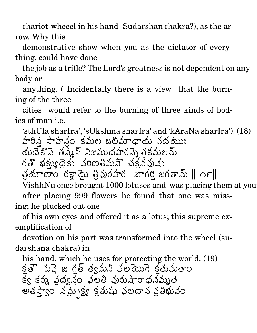chariot-wheeel in his hand -Sudarshan chakra?), as the arrow. Why this

demonstrative show when you as the dictator of everything, could have done

the job as a trifle? The Lord's greatness is not dependent on anybody or

anything. (Incidentally there is a view that the burning of the three

cities would refer to the burning of three kinds of bodies of man i.e.

'sthUla sharIra', 'sUkshma sharIra' and 'kAraNa sharIra'). (18) హారినె సాహనం కమల బలిమాధాయ వద్దము: యదెకొనె తన్మీన్ నిజముదహరన్నె తకమలమ్ | గతొ భక్కుదైక: వరిణతిమన్ చక్రవవుష్య  $\sim$  10  $\sim$  10  $\sim$  10  $\sim$  10  $\sim$  10  $\sim$  10  $\sim$  10  $\sim$  10  $\sim$  10  $\sim$  10  $\sim$  10  $\sim$  10  $\sim$  10  $\sim$  10  $\sim$  10  $\sim$  10  $\sim$  10  $\sim$  10  $\sim$  10  $\sim$  10  $\sim$  10  $\sim$  10  $\sim$  10  $\sim$  10  $\sim$  10  $\sim$  10  $\sim$  10  $\sim$  VishhNu once brought 1000 lotuses and was placing them at you

after placing 999 flowers he found that one was missing; he plucked out one

of his own eyes and offered it as a lotus; this supreme exemplification of

devotion on his part was transformed into the wheel (sudarshana chakra) in

his hand, which he uses for protecting the world. (19) క్షత్త నుప్తె జాగ్గత్ త్యమని వలయొగ్ద క్రతుమతాం క్వ కర్మ ప్రధ్వన్గం వలతి వురుషారాధనమృతె | అతస్త్యాం నమ్సైక్ష్య క్రతుషు వలదాన-వ్రతిభువం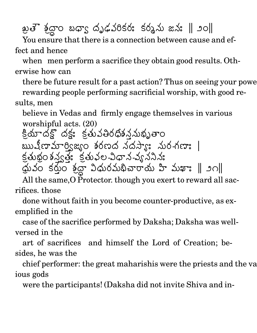ఖతె శ్రీద్ధాం బధ్యా దృ  $\ddot{\phantom{0}}$ For the second contract of the second contract of the second contract of the second contract of the second contract of the second contract of the second contract of the second contract of the second contract of the second a`FB %,21 " #MYX#E X#; /
' @ e f -h

You ensure that there is a connection between cause and effect and hence

when men perform a sacrifice they obtain good results. Otherwise how can

there be future result for a past action? Thus on seeing your powe rewarding people performing sacrificial worship, with good results, men

believe in Vedas and firmly engage themselves in various worshipful acts. (20)

 $\ddot{\phantom{0}}$ యాదక్లో దక్షః క్రతువతిరధిశననుభ . . . . . . తిరధిశన్నపథ్పతాం బ్బుషీణామార్విజ్యం శరణద నం <u> శరణద నదస్యా: నుర-గణా: | -</u>  $\ddot{\phantom{0}}$ कर्क़ू0 रुप्रेटक: देव्  $\frac{1}{2}$ ప్యత్య క్రతువల-విధాన-వ్య నల-విధాన-వ్యననినః -5-0/V @ **Contract Contract Contract Contract Contract Contract Contract Contract Contract Contract Contract Contract Contract Contract Contract Contract Contract Contract Contract Contract Contract Contract Contract Contract Contr** ధువం కర్తుం శ్రద్ధా విధుర i where the contract of the contract of the contract of the contract of the contract of the contract of the contract of the contract of the contract of the contract of the contract of the contract of the contract of the cont  $\varpi$  విధురమభిచారాయ హి మఖాః  $\parallel$ ్ణం $\parallel$ 

All the same, O Protector. though you exert to reward all sacrifices. those

done without faith in you become counter-productive, as exemplified in the

case of the sacrifice performed by Daksha; Daksha was wellversed in the

art of sacrifices and himself the Lord of Creation; besides, he was the

chief performer: the great maharishis were the priests and the va ious gods

were the participants! (Daksha did not invite Shiva and in-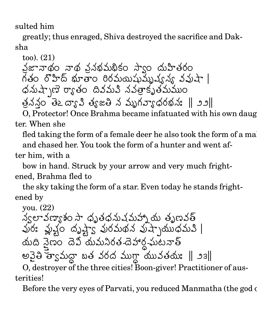sulted him

greatly; thus enraged, Shiva destroyed the sacrifice and Daksha

too). (21) నజానాథం నాథ ననభమభికం స్వాం దుహితరం . . Service and the service of the service of the service of the service of the service of the service of the service of the service of the service of the service of the service of the service of the service of the service of కం రొహిద్ భూతాం రిరమయిషువ్వువ్వన్ వవుషా | `, నుష్పాణె ర్యాతం దివమవి న the contract of the contract of the contract of the contract of the contract of the contract of the contract of 5 " / " నత్తాకృతమముం X21 త*మముం* - సంస్థాన్య సౌకర్యం త్రననం తెఽద్యావి త్యజతి న చ 2 K-  $\cdots$  . The simulation of the simulation of  $\cdots$ 

 $\mathbf{u}$ 

O, Protector! Once Brahma became infatuated with his own daughter. When she

a7 @

fled taking the form of a female deer he also took the form of a ma and chased her. You took the form of a hunter and went af-

ter him, with a

bow in hand. Struck by your arrow and very much frightened, Brahma fled to

the sky taking the form of a star. Even today he stands frightened by

you. (22)

/5  $\blacksquare$ H A POINT AND A POINT AND A POINT AND A POINT AND A POINT AND A POINT AND A POINT AND A POINT AND A POINT AND A <u>based and the second contract of the second contract of the second contract of the second contract of the second contract of the second contract of the second contract of the second contract of the second contract of the </u>  $\blacksquare$  . The set of the set of the set of the set of the set of the set of the set of the set of the set of the set of the set of the set of the set of the set of the set of the set of the set of the set of the set of the . . . . . . నుషమహాృ య తృణవత్ \*+  $\overline{\phantom{a}}$  , and the contract of the contract of the contract of the contract of the contract of the contract of the contract of the contract of the contract of the contract of the contract of the contract of the contrac 1 Particularly and the contract of the contract of the contract of the contract of the contract of the contract of the contract of the contract of the contract of the contract of the contract of the contract of the contrac "  $J$   $J$   $J$ ప్రేష్ణం దృష్ట్యా పురమథన పుష్  $\blacksquare$  . The set of the set of the set of the set of the set of the set of the set of the set of the set of the set of the set of the set of the set of the set of the set of the set of the set of the set of the set of the , where the contract of the contract of the contract of the contract of the contract of the contract of the contract of the contract of the contract of the contract of the contract of the contract of the contract of the cont " ()\*^ ')`, " <u>a comparativa de la comparativa de la comparativa de la comparativa de la comparativa de la comparativa de la</u> \*^ the contract of the contract of the contract of the contract of the contract of the contract of the contract of /  $\blacksquare$  . The contract of the contract of the contract of the contract of the contract of the contract of the contract of the contract of the contract of the contract of the contract of the contract of the contract of the the contract of the contract of the contract of the contract of the contract of the contract of the contract of అపైతి త్యామద్దా బత వరద ముగ్గా ణం దెవి యమనిరత-దెహార్డ-ఘటనాత్ ర్థ-ఘటనాత్ and the contract of the contract of the contract of the contract of the contract of the contract of the contract of the contract of the contract of the contract of the contract of the contract of the contract of the contra . . . . . . . త వరద ముగ్తా యువతయః  $\parallel$ ్తు ఇ $\parallel$  $\cdots$  . The following of the following  $\cdots$  is the following of the following  $\cdots$ 

O, destroyer of the three cities! Boon-giver! Practitioner of austerities!

Before the very eyes of Parvati, you reduced Manmatha (the god of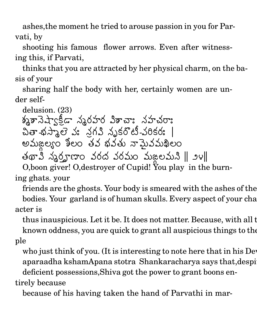ashes,the moment he tried to arouse passion in you for Parvati, by

shooting his famous flower arrows. Even after witnessing this, if Parvati,

thinks that you are attracted by her physical charm, on the basis of your

sharing half the body with her, certainly women are under self-

delusion. (23) శ్మశానెష్వాకీడా సృరహర విశాచాః నహచరాః  $\ddot{\phantom{0}}$ చితా-భస్మాలె వః న్రగవి నృకరొం s and the second contract of the second contract of the second contract of the second contract of the second contract of the second contract of the second contract of the second contract of the second contract of the secon " @ నృకరొటి-వరికరః | - \ - . . . . . . తు నామైవమఖిలం F" /
; - PQH& #%, " # \ /5 Wf O,boon giver! O,destroyer of Cupid! You play in the burn-

ing ghats. your

friends are the ghosts. Your body is smeared with the ashes of the bodies. Your garland is of human skulls. Every aspect of your cha acter is

thus inauspicious. Let it be. It does not matter. Because, with all these known oddness, you are quick to grant all auspicious things to the ple

who just think of you. (It is interesting to note here that in his Dev aparaadha kshamApana stotra Shankaracharya says that, despi deficient possessions,Shiva got the power to grant boons en-

tirely because

because of his having taken the hand of Parvathi in mar-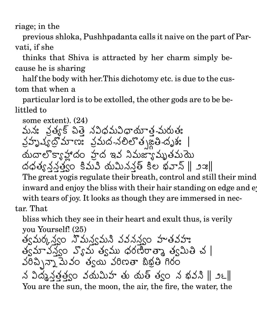riage; in the

previous shloka, Pushhpadanta calls it naive on the part of Parvati, if she

thinks that Shiva is attracted by her charm simply because he is sharing

half the body with her. This dichotomy etc. is due to the custom that when a

particular lord is to be extolled, the other gods are to be belittled to

some extent).  $(24)$ మన: వైత్యక్ చిత్తె నవిధమవిధాయాత-మరుత: వ్రహృష్యద్రోమాణ వ్రమద-నలిలోత్మ జైతి-దృశ: యదాలొక్యాహ్లాదం హైద ఇవ నిమజ్యామృతమయె  $\Delta \phi \phi$   $\Delta \phi$   $\sim$   $\Delta \phi$   $\sim$   $\Delta \phi$   $\sim$   $\Delta \phi$   $\sim$   $\Delta \phi$   $\sim$   $\Delta \phi$   $\sim$   $\Delta \phi$   $\sim$   $\Delta \phi$ The great yogis regulate their breath, control and still their mind inward and enjoy the bliss with their hair standing on edge and e with tears of joy. It looks as though they are immersed in nectar. That

bliss which they see in their heart and exult thus, is verily you Yourself! (25)

త్వమర్కన్వం నొమన్యమని వవనన్వం హతవహః  $\frac{3}{2}$  అన్నాను స్వామ్ త్వము ధరణిరాత్మా త్వమితి చ  $302 \times 200$  30 30 3000 3000 3000

న విద్యనత్తల్వం వయమిహ తు యత్ త్వం న భవని || ౨౬|| You are the sun, the moon, the air, the fire, the water, the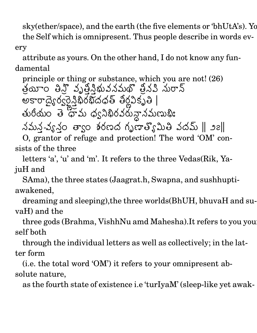sky(ether/space), and the earth (the five elements or 'bhUtA's). Yo the Self which is omnipresent. Thus people describe in words every

attribute as yours. On the other hand, I do not know any fundamental

principle or thing or substance, which you are not! (26)  $\sim$  . The contract of the contract of the contract of the contract of the contract of the contract of the contract of the contract of the contract of the contract of the contract of the contract of the contract of the co 2 యాం తిన్త్ వృత్తిశ్రీమవనమథ్ త్రీనవి నురాన్ <sup>7</sup> -<sup>X</sup> %  $77.77$  and  $77.77$  and  $77.77$  and  $77.77$  and  $77.77$  and  $77.77$  and  $77.77$  and  $77.77$  and  $77.77$  and  $77.77$  and  $77.77$  and  $77.77$  and  $77.77$  and  $77.77$  and  $77.77$  and  $77.77$  and  $77.77$  and  $77.77$  and  $77.7$ ద్వైర్వర్డ్డిభిరభిదధత్ తీర్ణవికృతి |  $\overline{a}$   $\overline{a}$   $\overline{a}$   $\overline{a}$   $\overline{a}$   $\overline{a}$   $\overline{a}$   $\overline{a}$   $\overline{a}$   $\overline{a}$   $\overline{a}$   $\overline{a}$   $\overline{a}$   $\overline{a}$   $\overline{a}$   $\overline{a}$   $\overline{a}$   $\overline{a}$   $\overline{a}$   $\overline{a}$   $\overline{a}$   $\overline{a}$   $\overline{a}$   $\overline{a}$   $\overline{$ తురీయం తె 'ధామ ధ్వనిభిరవరున్నామణుభిః  $\lambda$ మన్-వ్యనం త్వాం శరణద గృణాత్యోమితి వదమ్  $\parallel$ ్తుం $\parallel$ , and the state of  $\mathbf{A}$  and  $\mathbf{A}$  and  $\mathbf{A}$  and  $\mathbf{A}$  and  $\mathbf{A}$  and  $\mathbf{A}$  and  $\mathbf{A}$  and  $\mathbf{A}$  and  $\mathbf{A}$  and  $\mathbf{A}$  and  $\mathbf{A}$  and  $\mathbf{A}$  and  $\mathbf{A}$  and  $\mathbf{A}$  and  $\mathbf{A}$  and  $\mathbf{A}$ 

O, grantor of refuge and protection! The word 'OM' consists of the three

letters 'a', 'u' and 'm'. It refers to the three Vedas(Rik, YajuH and

SAma), the three states (Jaagrat.h, Swapna, and sushhuptiawakened,

dreaming and sleeping),the three worlds(BhUH, bhuvaH and suvaH) and the

three gods (Brahma, VishhNu amd Mahesha).It refers to you yourself both

through the individual letters as well as collectively; in the latter form

(i.e. the total word 'OM') it refers to your omnipresent absolute nature,

as the fourth state of existence i.e 'turIyaM' (sleep-like yet awak-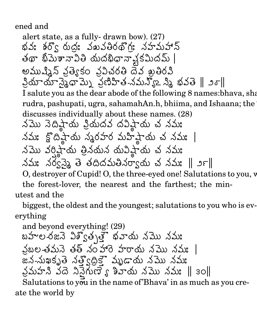ened and

alert state, as a fully-drawn bow). (27) భవ: శర్వ రుద్ర: వఖవతిరథ్గ: నహమహాన్ తథా భీమెశానావితి యదభిధానావ్షకమిదమ్ | అముష్మిన్ వ్రత్యేకం వ్రవిచరతి దెవ ఖ్రతిరవి 3మాయానైనదామ్ని వ్రణిహిత-నమన్యోఽ నిన భవతె || ౨రె|| I salute you as the dear abode of the following 8 names: bhava, sha rudra, pashupati, ugra, sahamahAn.h, bhiima, and Ishaana; the discusses individually about these names. (28) నమొ నెదిష్టాయ ప్రియదవ దవిష్టాయ చ నమః నమః క్టొదిష్టాయ స్థరహర మహిష్టాయ చ నమః | నమొ వర్తిష్టాయ త్రినయన యవిష్ఠాయ చ నమః నమః నర్వస్తై తె తదిదమతినర్యాయ చ నమః || ౨౯|| O, destroyer of Cupid! O, the three-eyed one! Salutations to you, v the forest-lover, the nearest and the farthest; the min-

utest and the

biggest, the oldest and the youngest; salutations to you who is everything

and beyond everything! (29) బహల-రజనె విశ్వితృత్తై భవాయ నమొ నమః వబల-తమనె తత్ నంహాం హరాయ నమొనమః | జన-నుఖకృతె నత్వదికౌ మృడాయ నమొ నమః  $35.53$   $37.50$   $37.50$  $37.50$   $33.50$   $33.50$   $33.50$   $33.50$   $33.50$   $33.50$ 

Salutations to you in the name of Bhava' in as much as you create the world by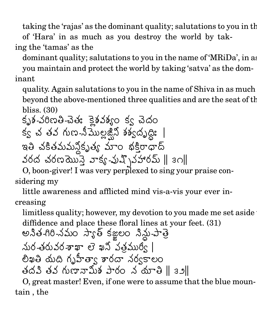taking the 'rajas' as the dominant quality; salutations to you in the of 'Hara' in as much as you destroy the world by taking the 'tamas' as the

dominant quality; salutations to you in the name of 'MRiDa', in as you maintain and protect the world by taking 'satva' as the dominant

quality. Again salutations to you in the name of Shiva in as much beyond the above-mentioned three qualities and are the seat of the bliss. (30)

X21 క-వరిణతి-చెతః క్లైకవక్యం క్వ శ శ్వం క్వ చెదం క్వ చ తవ గుణ-నిమొల్లజ్షిని శశ్వదృద్ధిః జిని శశ్వదృద్ధిః | <u>ခ</u>်ငွဲထို့ ၁၉% | the contract of the contract of the contract of the contract of the contract of the contract of the contract of ఇతి చకితమమనికృత్య మాం త్య మాం భక్తిరాధాద్ నరద చరణమొస్తె వాక్య-ప్రష్ళివూరమ్ || ఇ౧|| $\,$ 

O, boon-giver! I was very perplexed to sing your praise considering my

little awareness and afflicted mind vis-a-vis your ever increasing

limitless quality; however, my devotion to you made me set aside అనిత-గిరి-నమం స్యాత్ కజ్జలం నిన్థు-పాత్రె diffidence and place these floral lines at your feet. (31)

 @ /56'L - #6'c
# -bH ! &V " 'M>B <sup>7</sup> \*^ <sup>&</sup>lt; S21 <sup>B</sup> b% /5#BX %, 5 S6'cPQH @\$' @ \*+ <sup>7</sup>  fh

O, great master! Even, if one were to assume that the blue mountain , the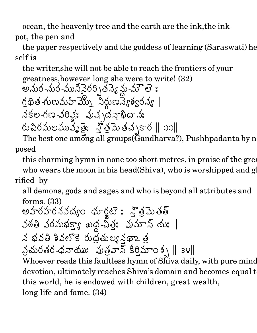ocean, the heavenly tree and the earth are the ink,the inkpot, the pen and

the paper respectively and the goddess of learning (Saraswati) he self is

the writer,she will not be able to reach the frontiers of your greatness, however tness,however long she were to write! (32)<br>న-నుర-మునినైరర్సిత్తప్యేన్లు-మౌలె :

/
'L 6' - ! @ -S'cP !' VW6'P / - B /5- ! <sup>b</sup> /5X -SP -#MYT, " T)%, @ \_a` @ E

S

రుచిరమలఘువృత్తెః రమలఘువృత్తిః స్తోత్రమెత the contract of the contract of the contract of the contract of the contract of the contract of the contract of  $\mathfrak{J}$ త్ర సినిమా బాధ్ $\parallel$  33 $\parallel$ 2 J,X

The best one among all groups  $(Gandharva?)$ , Pushhpadanta by n posed

this charming hymn in none too short metres, in praise of the great who wears the moon in his head(Shiva), who is worshipped and  $g$ rified by

all demons, gods and sages and who is beyond all attributes and forms . (33)

 @ 5%K- ` ! ! - <sup>7</sup> " # X b')%, -<sup>d</sup> " @ \*^ /5 5 <sup>7</sup>  X! 'c% ' -U/5 FG " J'L # -`, @\*+ '] " IH @ XOM <sup>b</sup> 

Whoever reads this faultless hymn of Sh̃iva daily, with pure mind  $\,$ devotion, ultimately reaches Shiva's domain and becomes equal t this world, he is endowed with children, great wealth, long life and fame. (34)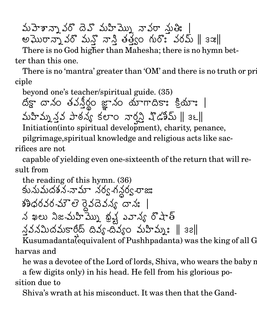మహెశాన్నా వరొదవి మహిమ్ను నావరా శుత్తి: | అఘొరానాృ వరొ మనొ నాని ఁ న్తో మాన్తి తత్త్వం గురొః . త్వం గురొః వరమ్ || ౩౫||

 There is no God higher than Mahesha; there is no hymn better than this one.

There is no 'mantra' greater than 'OM' and there is no truth or pri ciple

beyond one's teacher/spiritual guide. (35) దీక్గా దానం తపనీర్థం జ్ఞా. వనీర్ణం జూనం ం జ్ఞానం యాగాదిక \*^ <sup>S</sup> <<sup>X</sup> X \*^

  $\overline{\phantom{a}}$  . The contract of  $\overline{\phantom{a}}$  . The contract of  $\overline{\phantom{a}}$  ,  $\overline{\phantom{a}}$  ,  $\overline{\phantom{a}}$  ,  $\overline{\phantom{a}}$  ,  $\overline{\phantom{a}}$  ,  $\overline{\phantom{a}}$  ,  $\overline{\phantom{a}}$  ,  $\overline{\phantom{a}}$  ,  $\overline{\phantom{a}}$  ,  $\overline{\phantom{a}}$  ,  $\overline{\phantom{a}}$  ,  $\overline{\phantom$ మహిము నవ పాఠన్య కలాం వార్న ష్డ ూ౦ వార్ని చ్డిపేమ్ ∥్  $\int \mathbb{C} \mathbb{C} \mathbb{S} \mathbb{S} \mathbb{C} \mathbb{S} \mathbb{S} \mathbb{S} \mathbb{S} \mathbb{S} \mathbb{S} \mathbb{S}$ 

Initiation(into spiritual development), charity, penance,

pilgrimage,spiritual knowledge and religious acts like sacrifices are not

capable of yielding even one-sixteenth of the return that will result from

కునుమదశన-నామా నర్వగ the reading of this hymn. (36) <u>in a series de la construcción de la construcción de la construcción de la construcción de la construcción de </u>

@ న -నామా నర్వ -గన్దర్వ -రాజు  $\lesssim$ ర్వ -రాజు $\sim$ శ్రీధరవర-మౌలె రైవదెవన్య దానః |

/5 లు నిజ-మహిమ్ను భష్ట వాన్య రొషాత్ and the contract of the contract of the contract of the contract of the contract of the contract of the contract of the contract of the contract of the contract of the contract of the contract of the contract of the contra

న్ననమిదమకార్తద్ దివ్య-దివ్యం మహిమ్మః ∥ ౩౭∥

Kusumadanta(equivalent of Pushhpadanta) was the king of all G harvas and

he was a devotee of the Lord of lords, Shiva, who wears the baby n

a few digits only) in his head. He fell from his glorious po-

sition due to

Shiva's wrath at his misconduct. It was then that the Gand-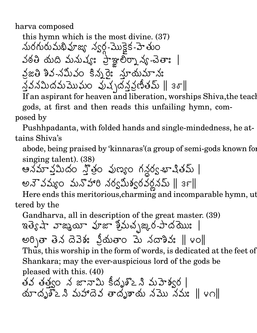harva composed

/56'L this hymn which is the most divine. (37) S'L'c \_ " - /5B  -!' ! X -! '3 - <sup>7</sup> \*^ <sup>&</sup>lt; @ ')T,K- @ K- -<sup>J</sup> ! 5 -/
\$' " [ X @ ! /5 \*+ O E /5 @ \$O')%, !'- " T,)% @ " P 

If an aspirant for heaven and liberation, worships Shiva, the teach gods, at first and then reads this unfailing hymn, composed by

Pushhpadanta, with folded hands and single-mindedness, he attains Shiva's

abode, being praised by 'kinnaras'(a group of semi-gods known for singing talent). (38)

 /
O నమీదం న్నీల పుణ్యం గనర్వ-భాషి 2 @ న్లర్వ-భాషితమ్  $\mid$ అనె వమ్యం మనొహారి - నొహారి నర్వమిశ్వరవర్ణనమ్ ∥ ౩౯∥ా he has been a set of the set of the set of the set of the set of the set of the set of the set of the set of th

Here ends this meritorious, charming and incomparable hymn, ut tered by the

 Gandharva, all in description of the great master. (39) !  $\int \mathfrak{g} \mathfrak{t} \mathfrak{t}$ ာ ဘာ $\mathfrak{g}$ ားသား အား $\int \mathfrak{g} \left( \mathfrak{t} \mathfrak{t} \mathfrak{t} \mathfrak{t} \mathfrak{t} \mathfrak{t} \mathfrak{t} \mathfrak{t} \mathfrak{t} \mathfrak{t} \mathfrak{t} \mathfrak{t} \mathfrak{t} \mathfrak{t} \mathfrak{t} \mathfrak{t} \mathfrak{t} \mathfrak{t} \mathfrak{t} \mathfrak{t} \mathfrak{t} \mathfrak{t} \mathfrak{t$ అర్పితా తెన దెవెశ: ప్రీయ క దెవెశ: ప్రియతాం e de la construcción de la construcción de la construcción de la construcción de la construcción de la construcción de la construcción de la construcción de la construcción de la construcción de la construcción de la const " . \*+ ! /5% 5E  -a Thus, this worship in the form of words, is dedicated at the feet of Shankara; may the ever-auspicious lord of the gods be pleased with this. (40)  $3$ వ తత్వం న జానామి కిదృశ్2 ని మహెశ్వర | be a series of the series of the series of the series of the series of the series of the series of the series యాదృశిఽని మహాదెవ తాదృశాయ నము నమః ∥౪౧∥ : where the contract of the contract of the contract of the contract of the contract of the contract of the contract of the contract of the contract of the contract of the contract of the contract of the contract of the cont @